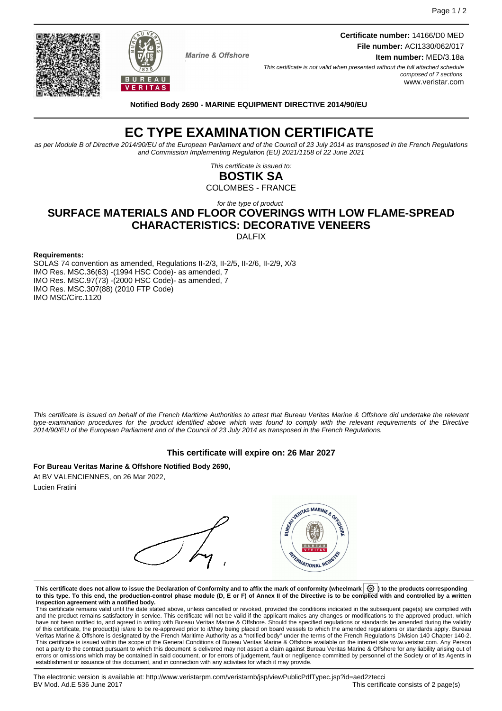**Marine & Offshore** 

**Certificate number:** 14166/D0 MED **File number:** ACI1330/062/017

**Item number:** MED/3.18a

This certificate is not valid when presented without the full attached schedule composed of 7 sections www.veristar.com

BUREAU **VERITAS** 

**Notified Body 2690 - MARINE EQUIPMENT DIRECTIVE 2014/90/EU**

# **EC TYPE EXAMINATION CERTIFICATE**

as per Module B of Directive 2014/90/EU of the European Parliament and of the Council of 23 July 2014 as transposed in the French Regulations and Commission Implementing Regulation (EU) 2021/1158 of 22 June 2021

> This certificate is issued to: **BOSTIK SA**

COLOMBES - FRANCE

## for the type of product **SURFACE MATERIALS AND FLOOR COVERINGS WITH LOW FLAME-SPREAD CHARACTERISTICS: DECORATIVE VENEERS**

DALFIX

#### **Requirements:**

SOLAS 74 convention as amended, Regulations II-2/3, II-2/5, II-2/6, II-2/9, X/3 IMO Res. MSC.36(63) -(1994 HSC Code)- as amended, 7 IMO Res. MSC.97(73) -(2000 HSC Code)- as amended, 7 IMO Res. MSC.307(88) (2010 FTP Code) IMO MSC/Circ.1120

This certificate is issued on behalf of the French Maritime Authorities to attest that Bureau Veritas Marine & Offshore did undertake the relevant type-examination procedures for the product identified above which was found to comply with the relevant requirements of the Directive 2014/90/EU of the European Parliament and of the Council of 23 July 2014 as transposed in the French Regulations.

#### **This certificate will expire on: 26 Mar 2027**

**For Bureau Veritas Marine & Offshore Notified Body 2690,** At BV VALENCIENNES, on 26 Mar 2022, Lucien Fratini

VERITAS MARINE & ORIGIN **AYERNATIONAL REGI** 

**This certificate does not allow to issue the Declaration of Conformity and to affix the mark of conformity (wheelmark ) to the products corresponding to this type. To this end, the production-control phase module (D, E or F) of Annex II of the Directive is to be complied with and controlled by a written inspection agreement with a notified body.**

This certificate remains valid until the date stated above, unless cancelled or revoked, provided the conditions indicated in the subsequent page(s) are complied with and the product remains satisfactory in service. This certificate will not be valid if the applicant makes any changes or modifications to the approved product, which have not been notified to, and agreed in writing with Bureau Veritas Marine & Offshore. Should the specified regulations or standards be amended during the validity of this certificate, the product(s) is/are to be re-approved prior to it/they being placed on board vessels to which the amended regulations or standards apply. Bureau<br>Veritas Marine & Offshore is designated by the French not a party to the contract pursuant to which this document is delivered may not assert a claim against Bureau Veritas Marine & Offshore for any liability arising out of errors or omissions which may be contained in said document, or for errors of judgement, fault or negligence committed by personnel of the Society or of its Agents in establishment or issuance of this document, and in connection with any activities for which it may provide.